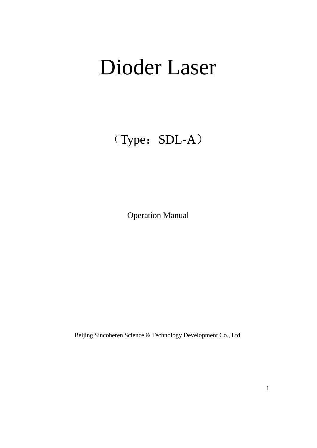# Dioder Laser

(Type: SDL-A)

Operation Manual

Beijing Sincoheren Science & Technology Development Co., Ltd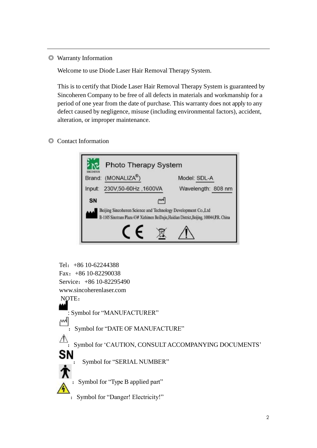◎ Warranty Information

Welcome to use Diode Laser Hair Removal Therapy System.

This is to certify that Diode Laser Hair Removal Therapy System is guaranteed by Sincoheren Company to be free of all defects in materials and workmanship for a period of one year from the date of purchase. This warranty does not apply to any defect caused by negligence, misuse (including environmental factors), accident, alteration, or improper maintenance.

◎ Contact Information



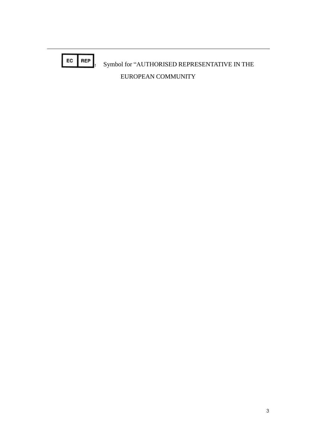$EC$  REP : Symbol for "AUTHORISED REPRESENTATIVE IN THE EUROPEAN COMMUNITY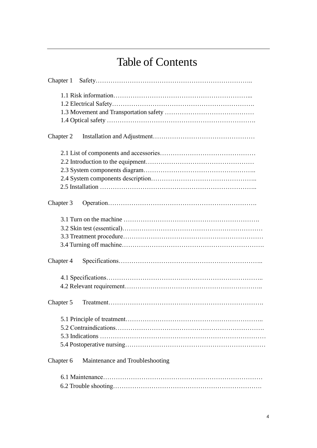# Table of Contents

| Chapter 1                                    |
|----------------------------------------------|
|                                              |
|                                              |
|                                              |
|                                              |
| Chapter 2                                    |
|                                              |
|                                              |
|                                              |
|                                              |
|                                              |
| Chapter 3                                    |
|                                              |
|                                              |
|                                              |
|                                              |
| Chapter 4                                    |
|                                              |
|                                              |
| Chapter 5                                    |
|                                              |
|                                              |
|                                              |
|                                              |
| Maintenance and Troubleshooting<br>Chapter 6 |
|                                              |
|                                              |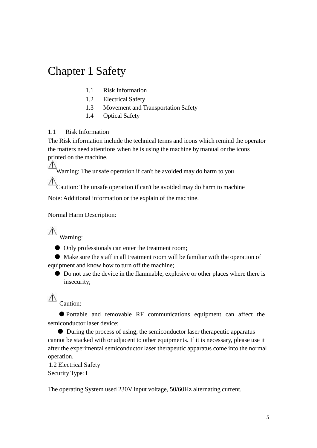# Chapter 1 Safety

- 1.1 Risk Information
- 1.2 Electrical Safety
- 1.3 Movement and Transportation Safety
- 1.4 Optical Safety

# 1.1 Risk Information

The Risk information include the technical terms and icons which remind the operator the matters need attentions when he is using the machine by manual or the icons printed on the machine.

 $\sqrt{2}$ Warning: The unsafe operation if can't be avoided may do harm to you

Caution: The unsafe operation if can't be avoided may do harm to machine

Note: Additional information or the explain of the machine.

Normal Harm Description:

 $\overline{\mathbb{A}}$  Warning:

● Only professionals can enter the treatment room;

● Make sure the staff in all treatment room will be familiar with the operation of equipment and know how to turn off the machine;

● Do not use the device in the flammable, explosive or other places where there is insecurity;

#### $\mathbb{A}$ Caution:

● Portable and removable RF communications equipment can affect the semiconductor laser device;

● During the process of using, the semiconductor laser therapeutic apparatus cannot be stacked with or adjacent to other equipments. If it is necessary, please use it after the experimental semiconductor laser therapeutic apparatus come into the normal operation.

1.2 Electrical Safety Security Type: I

The operating System used 230V input voltage, 50/60Hz alternating current.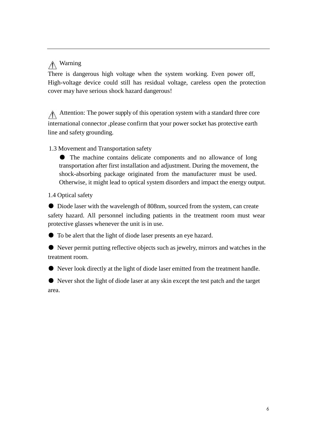# Warning

There is dangerous high voltage when the system working. Even power off, High-voltage device could still has residual voltage, careless open the protection cover may have serious shock hazard dangerous!

Attention: The power supply of this operation system with a standard three core international connector ,please confirm that your power socket has protective earth line and safety grounding.

# 1.3 Movement and Transportation safety

● The machine contains delicate components and no allowance of long transportation after first installation and adjustment. During the movement, the shock-absorbing package originated from the manufacturer must be used. Otherwise, it might lead to optical system disorders and impact the energy output.

## 1.4 Optical safety

● Diode laser with the wavelength of 808nm, sourced from the system, can create safety hazard. All personnel including patients in the treatment room must wear protective glasses whenever the unit is in use.

● To be alert that the light of diode laser presents an eye hazard.

● Never permit putting reflective objects such as jewelry, mirrors and watches in the treatment room.

● Never look directly at the light of diode laser emitted from the treatment handle.

● Never shot the light of diode laser at any skin except the test patch and the target area.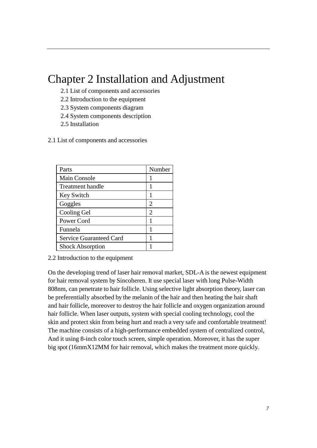# Chapter 2 Installation and Adjustment

- 2.1 List of components and accessories
- 2.2 Introduction to the equipment
- 2.3 System components diagram
- 2.4 System components description
- 2.5 Installation
- 2.1 List of components and accessories

| Parts                          | Number         |
|--------------------------------|----------------|
| <b>Main Console</b>            |                |
| Treatment handle               |                |
| Key Switch                     |                |
| Goggles                        | 2              |
| Cooling Gel                    | $\overline{2}$ |
| Power Cord                     |                |
| Funnela                        |                |
| <b>Service Guaranteed Card</b> |                |
| <b>Shock Absorption</b>        |                |

2.2 Introduction to the equipment

On the developing trend of laser hair removal market, SDL-A is the newest equipment for hair removal system by Sincoheren. It use special laser with long Pulse-Width 808nm, can penetrate to hair follicle. Using selective light absorption theory, laser can be preferentially absorbed by the melanin of the hair and then heating the hair shaft and hair follicle, moreover to destroy the hair follicle and oxygen organization around hair follicle. When laser outputs, system with special cooling technology, cool the skin and protect skin from being hurt and reach a very safe and comfortable treatment! The machine consists of a high-performance embedded system of centralized control, And it using 8-inch color touch screen, simple operation. Moreover, it has the super big spot (16mmX12MM for hair removal, which makes the treatment more quickly.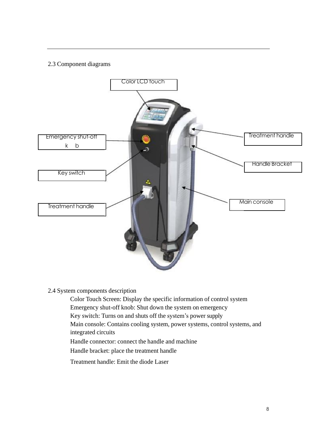# 2.3 Component diagrams



## 2.4 System components description

Color Touch Screen: Display the specific information of control system Emergency shut-off knob: Shut down the system on emergency Key switch: Turns on and shuts off the system's power supply Main console: Contains cooling system, power systems, control systems, and integrated circuits Handle connector: connect the handle and machine Handle bracket: place the treatment handle Treatment handle: Emit the diode Laser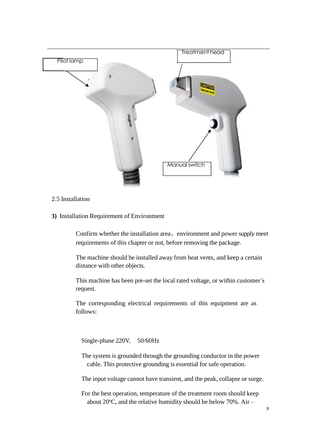

### 2.5 Installation

**3)** Installation Requirement of Environment

Confirm whether the installation area、environment and power supply meet requirements of this chapter or not, before removing the package.

The machine should be installed away from heat vents, and keep a certain distance with other objects.

This machine has been pre-set the local rated voltage, or within customer's request.

The corresponding electrical requirements of this equipment are as follows:

Single-phase 220V, 50/60Hz

The system is grounded through the grounding conductor in the power cable. This protective grounding is essential for safe operation.

The input voltage cannot have transient, and the peak, collapse or surge.

For the best operation, temperature of the treatment room should keep about 20ºC, and the relative humidity should be below 70%. Air –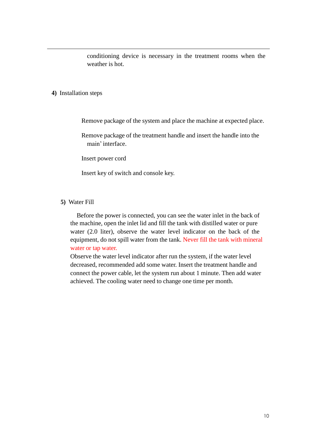conditioning device is necessary in the treatment rooms when the weather is hot.

#### **4)** Installation steps

Remove package of the system and place the machine at expected place.

Remove package of the treatment handle and insert the handle into the main'interface.

Insert power cord

Insert key of switch and console key.

#### **5)** Water Fill

Before the power is connected, you can see the water inlet in the back of the machine, open the inlet lid and fill the tank with distilled water or pure water (2.0 liter), observe the water level indicator on the back of the equipment, do not spill water from the tank. Never fill the tank with mineral water or tap water.

Observe the water level indicator after run the system, if the water level decreased, recommended add some water. Insert the treatment handle and connect the power cable, let the system run about 1 minute. Then add water achieved. The cooling water need to change one time per month.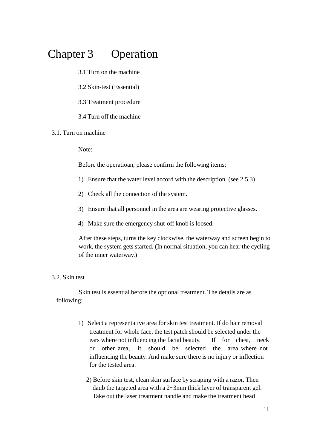# Chapter 3 Operation

- 3.1 Turn on the machine
- 3.2 Skin-test (Essential)
- 3.3 Treatment procedure
- 3.4 Turn off the machine

#### 3.1. Turn on machine

Note:

Before the operatioan, please confirm the following items;

- 1) Ensure that the water level accord with the description. (see 2.5.3)
- 2) Check all the connection of the system.
- 3) Ensure that all personnel in the area are wearing protective glasses.
- 4) Make sure the emergency shut-off knob is loosed.

After these steps, turns the key clockwise, the waterway and screen begin to work, the system gets started. (In normal situation, you can hear the cycling of the inner waterway.)

### 3.2. Skin test

Skin test is essential before the optional treatment. The details are as following:

- 1) Select a representative area for skin test treatment. If do hair removal treatment for whole face, the test patch should be selected under the ears where not influencing the facial beauty. If for chest, neck or other area, it should be selected the area where not influencing the beauty. And make sure there is no injury or inflection for the tested area.
	- 2) Before skin test, clean skin surface by scraping with a razor. Then daub the targeted area with a 2~3mm thick layer of transparent gel. Take out the laser treatment handle and make the treatment head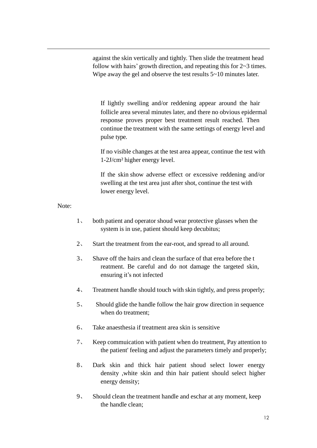against the skin vertically and tightly. Then slide the treatment head follow with hairs' growth direction, and repeating this for  $2~3$  times. Wipe away the gel and observe the test results  $5\nu$ -10 minutes later.

If lightly swelling and/or reddening appear around the hair follicle area several minutes later, and there no obvious epidermal response proves proper best treatment result reached. Then continue the treatment with the same settings of energy level and pulse type.

If no visible changes at the test area appear, continue the test with 1-2J/cm² higher energy level.

If the skin show adverse effect or excessive reddening and/or swelling at the test area just after shot, continue the test with lower energy level.

Note:

- 1、 both patient and operator shoud wear protective glasses when the system is in use, patient should keep decubitus;
- 2、 Start the treatment from the ear-root, and spread to all around.
- 3、 Shave off the hairs and clean the surface of that erea before the t reatment. Be careful and do not damage the targeted skin, ensuring it's not infected
- 4、 Treatment handle should touch with skin tightly, and press properly;
- 5、 Should glide the handle follow the hair grow direction in sequence when do treatment;
- 6、 Take anaesthesia if treatment area skin is sensitive
- 7、 Keep commuication with patient when do treatment, Pay attention to the patient' feeling and adjust the parameters timely and properly;
- 8、 Dark skin and thick hair patient shoud select lower energy density ,white skin and thin hair patient should select higher energy density;
- 9、 Should clean the treatment handle and eschar at any moment, keep the handle clean;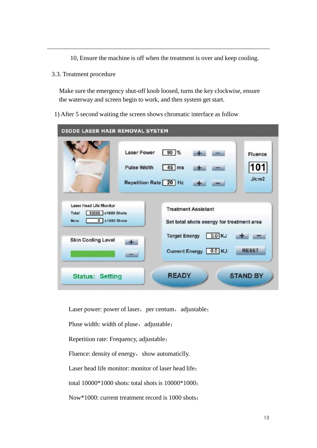10, Ensure the machine is off when the treatment is over and keep cooling.

3.3. Treatment procedure

Make sure the emergency shut-off knob loosed, turns the key clockwise, ensure the waterway and screen begin to work, and then system get start.

1) After 5 second waiting the screen shows chromatic interface as follow

| DIODE LASER HAIR REMOVAL SYSTEM                                                                                     |                                                                                                                                                            |  |  |  |
|---------------------------------------------------------------------------------------------------------------------|------------------------------------------------------------------------------------------------------------------------------------------------------------|--|--|--|
|                                                                                                                     | <b>Laser Power</b><br>$90\frac{9}{6}$<br><b>Fluence</b><br>101<br>$45$ ms<br><b>Pulse Width</b><br>J/cm2<br>Repetition Rate 20 Hz                          |  |  |  |
| Laser Head Life Monitor<br>10000 x1000 Shots<br>Total<br>$0$ x1000 Shots<br><b>Now</b><br><b>Skin Cooling Level</b> | <b>Treatment Assistant</b><br>Set total shots energy for treatment area<br>0.0 KJ<br><b>Target Energy</b><br>de a<br><b>RESET</b><br>Current Energy 0.0 KJ |  |  |  |
| <b>Status: Setting</b>                                                                                              | <b>READY</b><br><b>STAND BY</b>                                                                                                                            |  |  |  |

Laser power: power of laser, per centum, adjustable;

Pluse width: width of pluse, adjustable;

Repetition rate: Frequency, adjustable;

Fluence: density of energy, show automaticlly.

Laser head life monitor: monitor of laser head life;

total 10000\*1000 shots: total shots is 10000\*1000;

Now\*1000: current treatment record is 1000 shots;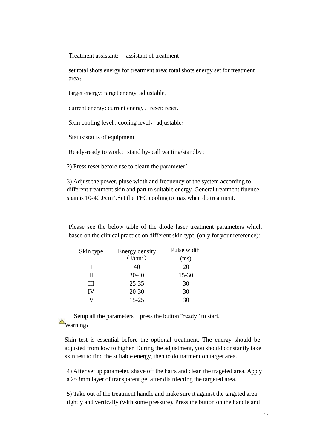Treatment assistant: assistant of treatment;

set total shots energy for treatment area: total shots energy set for treatment area;

target energy: target energy, adjustable;

current energy: current energy; reset: reset.

Skin cooling level : cooling level, adjustable;

Status:status of equipment

Ready-ready to work; stand by- call waiting/standby;

2) Press reset before use to clearn the parameter'

3) Adjust the power, pluse width and frequency of the system according to different treatment skin and part to suitable energy. General treatment fluence span is 10-40 J/cm2..Set the TEC cooling to max when do treatment.

Please see the below table of the diode laser treatment parameters which based on the clinical practice on different skin type, (only for your reference):

| Skin type | Energy density       | Pulse width |
|-----------|----------------------|-------------|
|           | (J/cm <sup>2</sup> ) | (ms)        |
| L         | 40                   | 20          |
| П         | $30 - 40$            | $15 - 30$   |
| Ш         | $25 - 35$            | 30          |
| IV        | $20 - 30$            | 30          |
| ΙV        | $15 - 25$            | 30          |

Setup all the parameters, press the button "ready" to start. Warning:

Skin test is essential before the optional treatment. The energy should be adjusted from low to higher. During the adjustment, you should constantly take skin test to find the suitable energy, then to do tratment on target area.

4) After set up parameter, shave off the hairs and clean the trageted area. Apply a 2~3mm layer of transparent gel after disinfecting the targeted area.

5) Take out of the treatment handle and make sure it against the targeted area tightly and vertically (with some pressure). Press the button on the handle and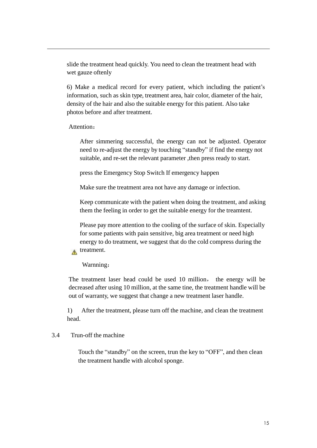slide the treatment head quickly. You need to clean the treatment head with wet gauze oftenly

6) Make a medical record for every patient, which including the patient's information, such as skin type, treatment area, hair color, diameter of the hair, density of the hair and also the suitable energy for this patient. Also take photos before and after treatment.

### Attention:

After simmering successful, the energy can not be adjusted. Operator need to re-adjust the energy by touching "standby" if find the energy not suitable, and re-set the relevant parameter ,then press ready to start.

press the Emergency Stop Switch If emergency happen

Make sure the treatment area not have any damage or infection.

Keep communicate with the patient when doing the treatment, and asking them the feeling in order to get the suitable energy for the treamtent.

Please pay more attention to the cooling of the surface of skin. Especially for some patients with pain sensitive, big area treatment or need high energy to do treatment, we suggest that do the cold compress during the treatment.

### Warnning:

 $\Lambda$ 

The treatment laser head could be used 10 million, the energy will be decreased after using 10 million, at the same tine, the treatment handle will be out of warranty, we suggest that change a new treatment laser handle.

1) After the treatment, please turn off the machine, and clean the treatment head.

# 3.4 Trun-off the machine

Touch the "standby" on the screen, trun the key to "OFF", and then clean the treatment handle with alcohol sponge.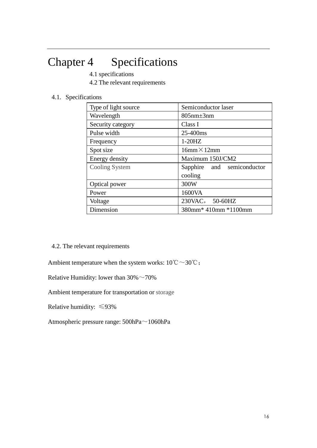# Chapter 4 Specifications

4.1 specifications

4.2 The relevant requirements

## 4.1. Specifications

| Type of light source | Semiconductor laser        |
|----------------------|----------------------------|
| Wavelength           | $805$ nm $\pm$ 3nm         |
| Security category    | Class I                    |
| Pulse width          | 25-400ms                   |
| Frequency            | $1-20HZ$                   |
| Spot size            | $16$ mm $\times$ 12mm      |
| Energy density       | Maximum 150J/CM2           |
| Cooling System       | Sapphire and semiconductor |
|                      | cooling                    |
| Optical power        | 300W                       |
| Power                | 1600VA                     |
| Voltage              | 230VAC, 50-60HZ            |
| Dimension            | 380mm* 410mm *1100mm       |

4.2. The relevant requirements

Ambient temperature when the system works:  $10^{\circ}\text{C} \sim 30^{\circ}\text{C}$ ;

Relative Humidity: lower than  $30\%$  ~70%

Ambient temperature for transportation or storage

Relative humidity: ≤93%

Atmospheric pressure range: 500hPa~1060hPa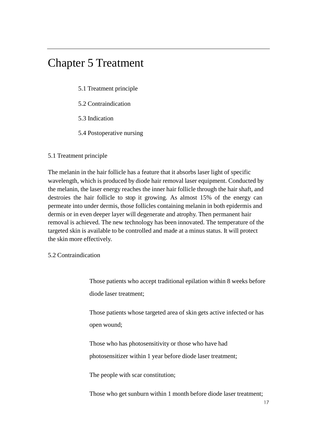# Chapter 5 Treatment

5.1 Treatment principle

5.2 Contraindication

5.3 Indication

5.4 Postoperative nursing

### 5.1 Treatment principle

The melanin in the hair follicle has a feature that it absorbs laser light of specific wavelength, which is produced by diode hair removal laser equipment. Conducted by the melanin, the laser energy reaches the inner hair follicle through the hair shaft, and destroies the hair follicle to stop it growing. As almost 15% of the energy can permeate into under dermis, those follicles containing melanin in both epidermis and dermis or in even deeper layer will degenerate and atrophy. Then permanent hair removal is achieved. The new technology has been innovated. The temperature of the targeted skin is available to be controlled and made at a minus status. It will protect the skin more effectively.

5.2 Contraindication

Those patients who accept traditional epilation within 8 weeks before diode laser treatment;

Those patients whose targeted area of skin gets active infected or has open wound;

Those who has photosensitivity or those who have had photosensitizer within 1 year before diode laser treatment;

The people with scar constitution;

Those who get sunburn within 1 month before diode laser treatment;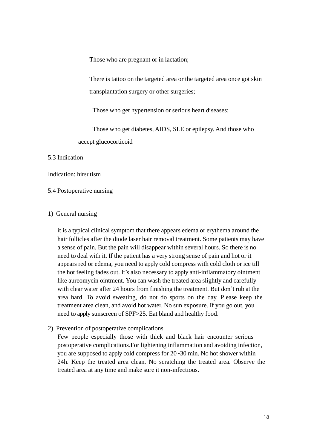Those who are pregnant or in lactation;

There is tattoo on the targeted area or the targeted area once got skin transplantation surgery or other surgeries;

Those who get hypertension or serious heart diseases;

Those who get diabetes, AIDS, SLE or epilepsy. And those who accept glucocorticoid

### 5.3 Indication

#### Indication: hirsutism

#### 5.4 Postoperative nursing

#### 1) General nursing

it is a typical clinical symptom that there appears edema or erythema around the hair follicles after the diode laser hair removal treatment. Some patients may have a sense of pain. But the pain will disappear within several hours. So there is no need to deal with it. If the patient has a very strong sense of pain and hot or it appears red or edema, you need to apply cold compress with cold cloth or ice till the hot feeling fades out. It's also necessary to apply anti-inflammatory ointment like aureomycin ointment. You can wash the treated area slightly and carefully with clear water after 24 hours from finishing the treatment. But don't rub at the area hard. To avoid sweating, do not do sports on the day. Please keep the treatment area clean, and avoid hot water. No sun exposure. If you go out, you need to apply sunscreen of SPF>25. Eat bland and healthy food.

2) Prevention of postoperative complications

Few people especially those with thick and black hair encounter serious postoperative complications.For lightening inflammation and avoiding infection, you are supposed to apply cold compress for 20~30 min. No hot shower within 24h. Keep the treated area clean. No scratching the treated area. Observe the treated area at any time and make sure it non-infectious.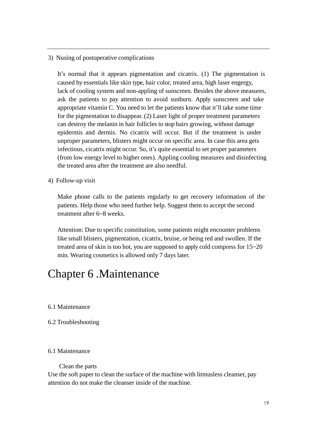3) Nusing of postoperative complications

It's normal that it appears pigmentation and cicatrix. (1) The pigmentation is caused by essentials like skin type, hair color, treated area, high laser engergy, lack of cooling system and non-appling of sunscreen. Besides the above measures, ask the patients to pay attention to avoid sunburn. Apply sunscreen and take appropriate vitamin C. You need to let the patients know that it'll take some time for the pigmentation to disappear. (2) Laser light of proper treatment parameters can destroy the melanin in hair follicles to stop hairs growing, without damage epidermis and dermis. No cicatrix will occur. But if the treatment is under unproper parameters, blisters might occur on specific area. In case this area gets infectious, cicatrix might occur. So, it's quite essential to set proper parameters (from low energy level to higher ones). Appling cooling measures and disinfecting the treated area after the treatment are also needful.

4) Follow-up visit

Make phone calls to the patients regularly to get recovery information of the patients. Help those who need further help. Suggest them to accept the second treatment after 6~8 weeks.

Attention: Due to specific constitution, some patients might encounter problems like small blisters, pigmentation, cicatrix, bruise, or being red and swollen. If the treated area of skin is too hot, you are supposed to apply cold compress for 15~20 min. Wearing cosmetics is allowed only 7 days later.

# Chapter 6 .Maintenance

- 6.1 Maintenance
- 6.2 Troubleshooting

#### 6.1 Maintenance

#### Clean the parts

Use the soft paper to clean the surface of the machine with litmusless cleanser, pay attention do not make the cleanser inside of the machine.